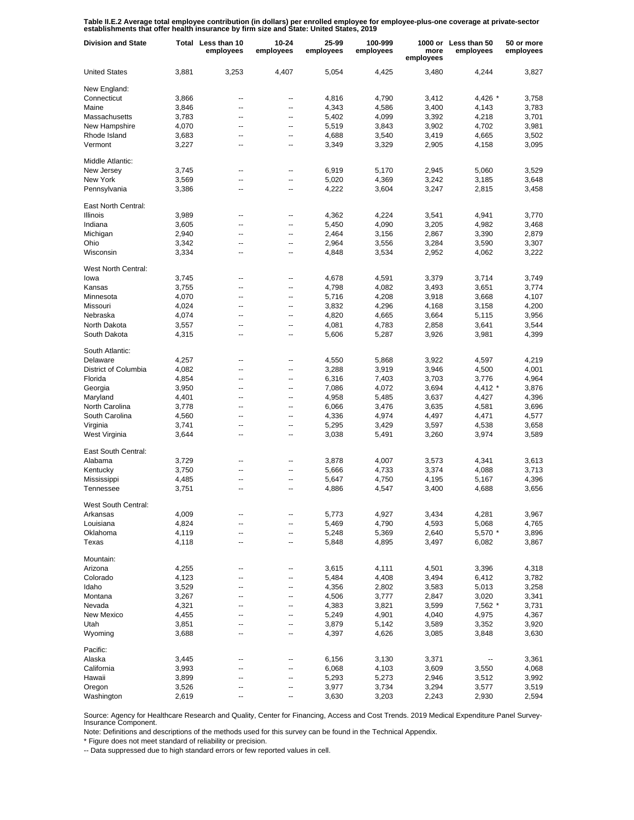Table II.E.2 Average total employee contribution (in dollars) per enrolled employee for employee-plus-one coverage at private-sector<br>establishments that offer health insurance by firm size and State: United States, 2019

| <b>Division and State</b> |       | Total Less than 10<br>employees | $10 - 24$<br>employees | 25-99<br>employees | 100-999<br>employees | more<br>employees | 1000 or Less than 50<br>employees | 50 or more<br>employees |
|---------------------------|-------|---------------------------------|------------------------|--------------------|----------------------|-------------------|-----------------------------------|-------------------------|
| <b>United States</b>      | 3,881 | 3,253                           | 4.407                  | 5,054              | 4,425                | 3,480             | 4,244                             | 3,827                   |
| New England:              |       |                                 |                        |                    |                      |                   |                                   |                         |
| Connecticut               | 3,866 | --                              | --                     | 4,816              | 4,790                | 3,412             | $4,426$ *                         | 3,758                   |
| Maine                     | 3,846 | --                              | --                     | 4,343              | 4,586                | 3,400             | 4,143                             | 3,783                   |
| Massachusetts             | 3,783 | --                              | --                     | 5,402              | 4,099                | 3,392             | 4,218                             | 3,701                   |
| New Hampshire             | 4,070 | --                              | --                     | 5,519              | 3,843                | 3,902             | 4,702                             | 3,981                   |
| Rhode Island              | 3,683 | --                              | --                     | 4,688              | 3,540                | 3,419             | 4,665                             | 3,502                   |
| Vermont                   | 3,227 | --                              | --                     | 3,349              | 3,329                | 2,905             | 4,158                             | 3,095                   |
| Middle Atlantic:          |       |                                 |                        |                    |                      |                   |                                   |                         |
| New Jersey                | 3,745 | --                              | --                     | 6,919              | 5,170                | 2,945             | 5,060                             | 3,529                   |
| New York                  | 3,569 | --                              | --                     | 5,020              | 4,369                | 3,242             | 3,185                             | 3,648                   |
| Pennsylvania              | 3,386 | --                              | --                     | 4,222              | 3,604                | 3,247             | 2,815                             | 3,458                   |
| East North Central:       |       |                                 |                        |                    |                      |                   |                                   |                         |
| Illinois                  | 3,989 | ۰.                              | ⊷                      | 4,362              | 4,224                | 3,541             | 4,941                             | 3,770                   |
| Indiana                   | 3,605 | --                              | --                     | 5,450              | 4,090                | 3,205             | 4,982                             | 3,468                   |
| Michigan                  | 2,940 | --                              | --                     | 2,464              | 3,156                | 2,867             | 3,390                             | 2,879                   |
| Ohio                      | 3,342 | --                              | --                     | 2,964              | 3,556                | 3,284             | 3,590                             | 3,307                   |
| Wisconsin                 | 3,334 | --                              | --                     | 4,848              | 3,534                | 2,952             | 4,062                             | 3,222                   |
| West North Central:       |       |                                 |                        |                    |                      |                   |                                   |                         |
| lowa                      | 3,745 | --                              | --                     | 4,678              | 4,591                | 3,379             | 3,714                             | 3,749                   |
| Kansas                    | 3,755 | --                              | -−                     | 4,798              | 4,082                | 3,493             | 3,651                             | 3,774                   |
| Minnesota                 | 4,070 | --                              | --                     | 5,716              | 4,208                | 3,918             | 3,668                             | 4,107                   |
| Missouri                  | 4,024 | --                              | -−                     | 3,832              | 4,296                | 4,168             | 3,158                             | 4,200                   |
| Nebraska                  | 4,074 | ۵.                              | --                     | 4,820              | 4,665                | 3,664             | 5,115                             | 3,956                   |
| North Dakota              | 3,557 | --                              | --                     | 4,081              | 4,783                | 2,858             | 3,641                             | 3,544                   |
| South Dakota              | 4,315 | --                              | -−                     | 5,606              | 5,287                | 3,926             | 3,981                             | 4,399                   |
| South Atlantic:           |       |                                 |                        |                    |                      |                   |                                   |                         |
| Delaware                  | 4,257 | --                              | --                     | 4,550              | 5,868                | 3,922             | 4,597                             | 4,219                   |
| District of Columbia      | 4,082 | $\overline{\phantom{a}}$        | --                     | 3,288              | 3,919                | 3,946             | 4,500                             | 4,001                   |
| Florida                   | 4,854 | --                              | --                     | 6,316              | 7,403                | 3,703             | 3,776                             | 4,964                   |
| Georgia                   | 3,950 | --                              | --                     | 7,086              | 4,072                | 3,694             | 4,412 *                           | 3,876                   |
| Maryland                  | 4,401 | --                              | --                     | 4,958              | 5,485                | 3,637             | 4,427                             | 4,396                   |
| North Carolina            | 3,778 | $\overline{\phantom{a}}$        | --                     | 6,066              | 3,476                | 3,635             | 4,581                             | 3,696                   |
| South Carolina            | 4,560 | --                              | --                     | 4,336              | 4,974                | 4,497             | 4,471                             | 4,577                   |
| Virginia                  | 3,741 | $\overline{\phantom{a}}$        | --                     | 5,295              | 3,429                | 3,597             | 4,538                             | 3,658                   |
| West Virginia             | 3,644 | --                              | --                     | 3,038              | 5,491                | 3,260             | 3,974                             | 3,589                   |
| East South Central:       |       |                                 |                        |                    |                      |                   |                                   |                         |
| Alabama                   | 3,729 | --                              | --                     | 3,878              | 4,007                | 3,573             | 4,341                             | 3,613                   |
| Kentucky                  | 3,750 | --                              | --                     | 5,666              | 4,733                | 3,374             | 4,088                             | 3,713                   |
| Mississippi               | 4,485 | --                              | --                     | 5,647              | 4,750                | 4,195             | 5,167                             | 4,396                   |
| Tennessee                 | 3,751 | $\overline{a}$                  | --                     | 4,886              | 4,547                | 3,400             | 4,688                             | 3,656                   |
| West South Central:       |       |                                 |                        |                    |                      |                   |                                   |                         |
| Arkansas                  | 4,009 |                                 |                        | 5,773              | 4,927                | 3,434             | 4,281                             | 3,967                   |
| Louisiana                 | 4,824 | --                              | --                     | 5,469              | 4,790                | 4,593             | 5,068                             | 4,765                   |
| Oklahoma                  | 4,119 | --                              | --                     | 5,248              | 5,369                | 2,640             | 5,570 *                           | 3,896                   |
| Texas                     | 4,118 | --                              | --                     | 5,848              | 4,895                | 3,497             | 6,082                             | 3,867                   |
| Mountain:                 |       |                                 |                        |                    |                      |                   |                                   |                         |
| Arizona                   | 4,255 | ۰.                              | ⊷                      | 3,615              | 4,111                | 4,501             | 3,396                             | 4,318                   |
| Colorado                  | 4,123 | --                              | --                     | 5,484              | 4,408                | 3,494             | 6,412                             | 3,782                   |
| Idaho                     | 3,529 | --                              | --                     | 4,356              | 2,802                | 3,583             | 5,013                             | 3,258                   |
| Montana                   | 3,267 | --                              | --                     | 4,506              | 3,777                | 2,847             | 3,020                             | 3,341                   |
| Nevada                    | 4,321 | --                              | --                     | 4,383              | 3,821                | 3,599             | 7,562 *                           | 3,731                   |
| <b>New Mexico</b>         | 4,455 | --                              | --                     | 5,249              | 4,901                | 4,040             | 4,975                             | 4,367                   |
| Utah                      | 3,851 | --                              | --                     | 3,879              | 5,142                | 3,589             | 3,352                             | 3,920                   |
| Wyoming                   | 3,688 | --                              | --                     | 4,397              | 4,626                | 3,085             | 3,848                             | 3,630                   |
| Pacific:                  |       |                                 |                        |                    |                      |                   |                                   |                         |
| Alaska                    | 3,445 | --                              | --                     | 6,156              | 3,130                | 3,371             |                                   | 3,361                   |
| California                | 3,993 | --                              | --                     | 6,068              | 4,103                | 3,609             | 3,550                             | 4,068                   |
| Hawaii                    | 3,899 | ۰.                              | --                     | 5,293              | 5,273                | 2,946             | 3,512                             | 3,992                   |
| Oregon                    | 3,526 | --                              | ⊷                      | 3,977              | 3,734                | 3,294             | 3,577                             | 3,519                   |
| Washington                | 2,619 | --                              | -−                     | 3,630              | 3,203                | 2,243             | 2,930                             | 2,594                   |

Source: Agency for Healthcare Research and Quality, Center for Financing, Access and Cost Trends. 2019 Medical Expenditure Panel Survey-Insurance Component.

Note: Definitions and descriptions of the methods used for this survey can be found in the Technical Appendix.

\* Figure does not meet standard of reliability or precision.

-- Data suppressed due to high standard errors or few reported values in cell.